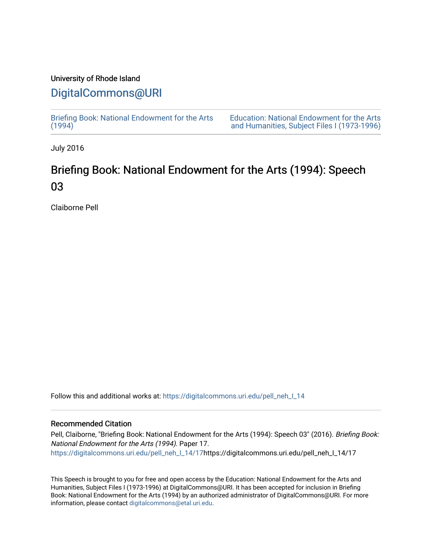### University of Rhode Island

## [DigitalCommons@URI](https://digitalcommons.uri.edu/)

[Briefing Book: National Endowment for the Arts](https://digitalcommons.uri.edu/pell_neh_I_14)  $(1994)$ 

[Education: National Endowment for the Arts](https://digitalcommons.uri.edu/pell_neh_I)  [and Humanities, Subject Files I \(1973-1996\)](https://digitalcommons.uri.edu/pell_neh_I) 

July 2016

# Briefing Book: National Endowment for the Arts (1994): Speech 03

Claiborne Pell

Follow this and additional works at: [https://digitalcommons.uri.edu/pell\\_neh\\_I\\_14](https://digitalcommons.uri.edu/pell_neh_I_14?utm_source=digitalcommons.uri.edu%2Fpell_neh_I_14%2F17&utm_medium=PDF&utm_campaign=PDFCoverPages) 

#### Recommended Citation

Pell, Claiborne, "Briefing Book: National Endowment for the Arts (1994): Speech 03" (2016). Briefing Book: National Endowment for the Arts (1994). Paper 17. [https://digitalcommons.uri.edu/pell\\_neh\\_I\\_14/17h](https://digitalcommons.uri.edu/pell_neh_I_14/17?utm_source=digitalcommons.uri.edu%2Fpell_neh_I_14%2F17&utm_medium=PDF&utm_campaign=PDFCoverPages)ttps://digitalcommons.uri.edu/pell\_neh\_I\_14/17

This Speech is brought to you for free and open access by the Education: National Endowment for the Arts and Humanities, Subject Files I (1973-1996) at DigitalCommons@URI. It has been accepted for inclusion in Briefing Book: National Endowment for the Arts (1994) by an authorized administrator of DigitalCommons@URI. For more information, please contact [digitalcommons@etal.uri.edu.](mailto:digitalcommons@etal.uri.edu)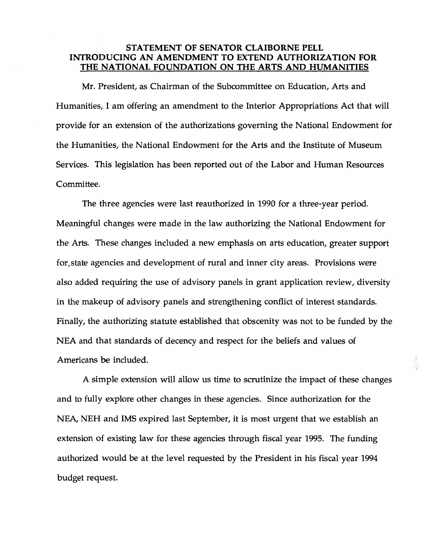### **STATEMENT OF SENATOR CLAIBORNE PELL INTRODUCING AN AMENDMENT TO EXTEND AUTHORIZATION FOR THE NATIONAL FOUNDATION ON THE ARTS AND HUMANITIES**

Mr. President, as Chairman of the Subcommittee on Education, Arts and Humanities, I am offering an amendment to the Interior Appropriations Act that will provide for an extension of the authorizations governing the National Endowment for the Humanities, the National Endowment for the Arts and the Institute of Museum Services. This legislation has been reported out of the Labor and Human Resources Committee.

The three agencies were last reauthorized in 1990 for a three-year period. Meaningful changes were made in the law authorizing the National Endowment for the Arts. These changes included a new emphasis on arts education, greater support for.state agencies and development of rural and inner city areas. Provisions were also added requiring the use of advisory panels in grant application review, diversity in the makeup of advisory panels and strengthening conflict of interest standards. Finally, the authorizing statute established that obscenity was not to be funded by the NEA and that standards of decency and respect for the beliefs and values of Americans be included.

A simple extension will allow us time to scrutinize the impact of these changes and to fully explore other changes in these agencies. Since authorization for the NEA, NEH and IMS expired last September, it is most urgent that we establish an extension of existing law for these agencies through fiscal year 1995. The funding authorized would be at the level requested by the President in his fiscal year 1994 budget request.